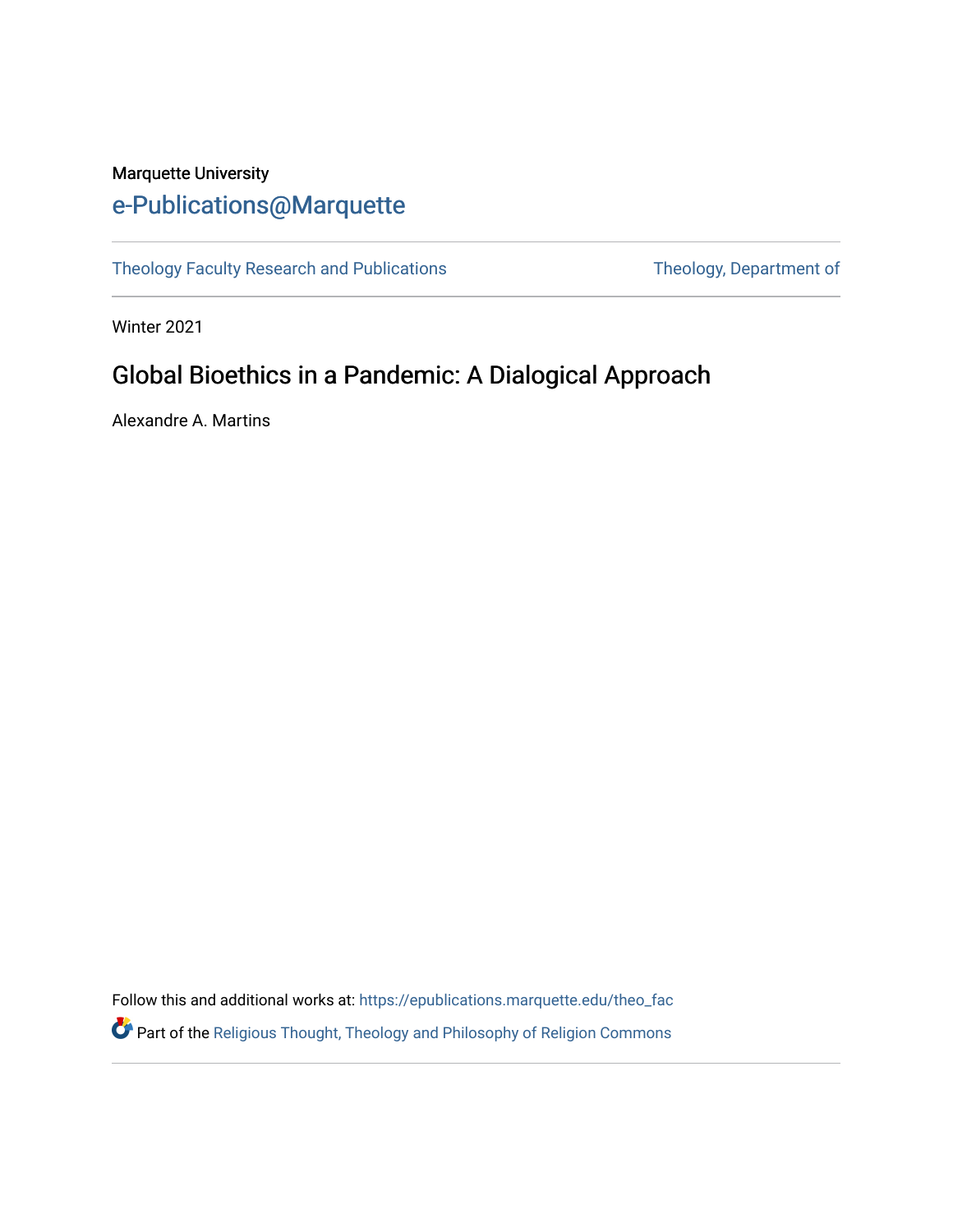## Marquette University [e-Publications@Marquette](https://epublications.marquette.edu/)

[Theology Faculty Research and Publications](https://epublications.marquette.edu/theo_fac) Theology, Department of

Winter 2021

## Global Bioethics in a Pandemic: A Dialogical Approach

Alexandre A. Martins

Follow this and additional works at: [https://epublications.marquette.edu/theo\\_fac](https://epublications.marquette.edu/theo_fac?utm_source=epublications.marquette.edu%2Ftheo_fac%2F800&utm_medium=PDF&utm_campaign=PDFCoverPages)  **P** Part of the Religious Thought, Theology and Philosophy of Religion Commons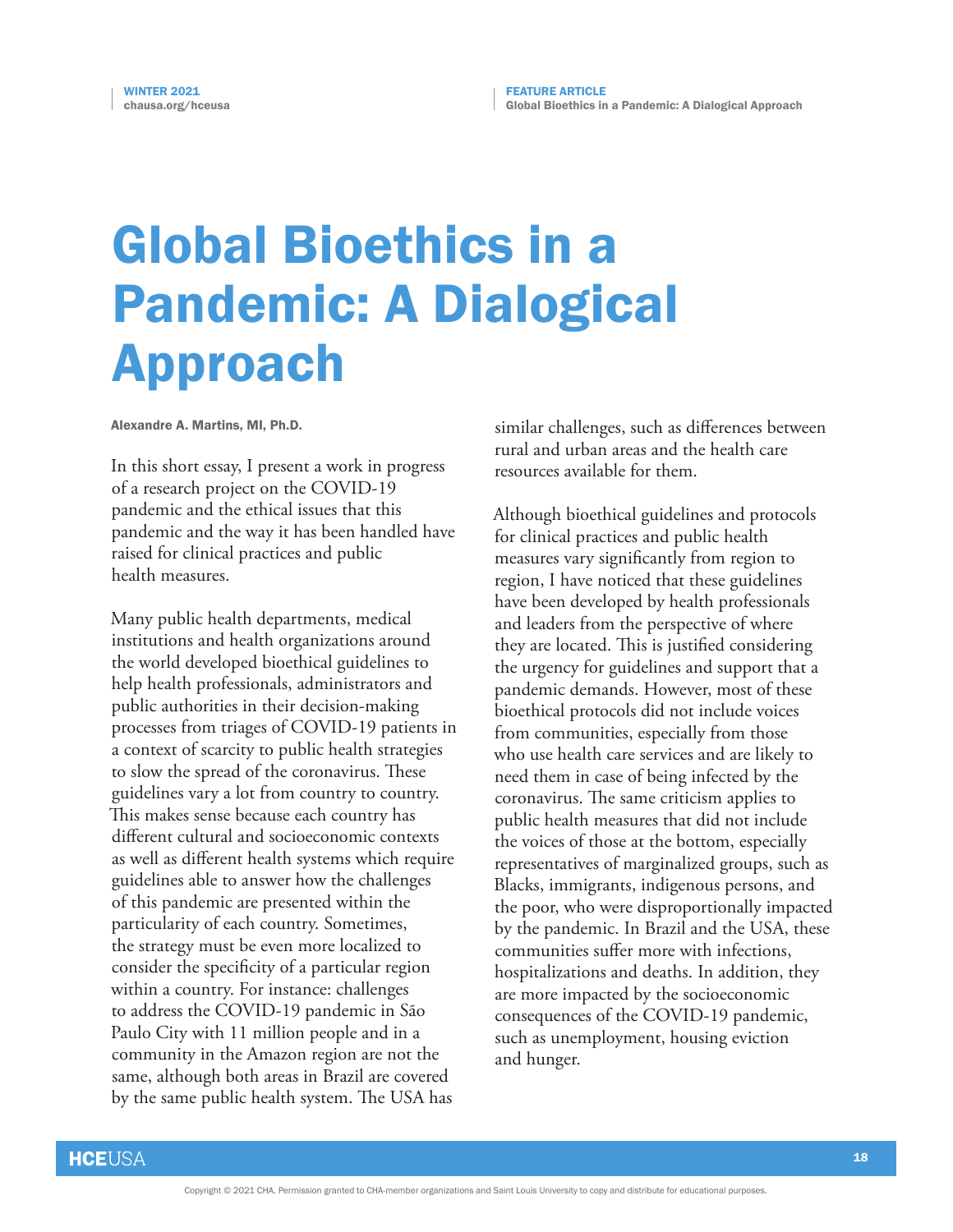## Global Bioethics in a Pandemic: A Dialogical Approach

Alexandre A. Martins, MI, Ph.D.

In this short essay, I present a work in progress of a research project on the COVID-19 pandemic and the ethical issues that this pandemic and the way it has been handled have raised for clinical practices and public health measures.

Many public health departments, medical institutions and health organizations around the world developed bioethical guidelines to help health professionals, administrators and public authorities in their decision-making processes from triages of COVID-19 patients in a context of scarcity to public health strategies to slow the spread of the coronavirus. These guidelines vary a lot from country to country. This makes sense because each country has different cultural and socioeconomic contexts as well as different health systems which require guidelines able to answer how the challenges of this pandemic are presented within the particularity of each country. Sometimes, the strategy must be even more localized to consider the specificity of a particular region within a country. For instance: challenges to address the COVID-19 pandemic in São Paulo City with 11 million people and in a community in the Amazon region are not the same, although both areas in Brazil are covered by the same public health system. The USA has

similar challenges, such as differences between rural and urban areas and the health care resources available for them.

Although bioethical guidelines and protocols for clinical practices and public health measures vary significantly from region to region, I have noticed that these guidelines have been developed by health professionals and leaders from the perspective of where they are located. This is justified considering the urgency for guidelines and support that a pandemic demands. However, most of these bioethical protocols did not include voices from communities, especially from those who use health care services and are likely to need them in case of being infected by the coronavirus. The same criticism applies to public health measures that did not include the voices of those at the bottom, especially representatives of marginalized groups, such as Blacks, immigrants, indigenous persons, and the poor, who were disproportionally impacted by the pandemic. In Brazil and the USA, these communities suffer more with infections, hospitalizations and deaths. In addition, they are more impacted by the socioeconomic consequences of the COVID-19 pandemic, such as unemployment, housing eviction and hunger.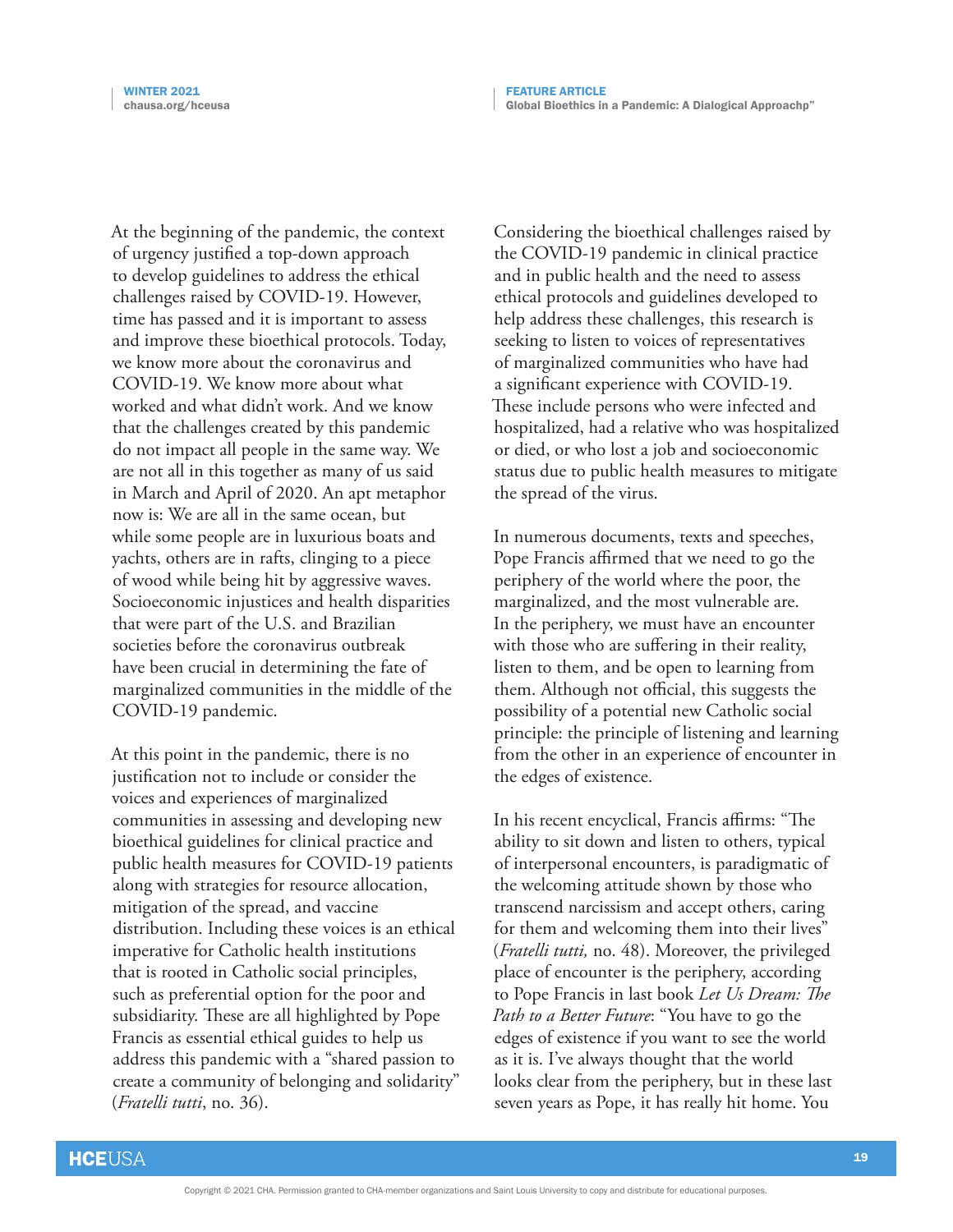At the beginning of the pandemic, the context of urgency justified a top-down approach to develop guidelines to address the ethical challenges raised by COVID-19. However, time has passed and it is important to assess and improve these bioethical protocols. Today, we know more about the coronavirus and COVID-19. We know more about what worked and what didn't work. And we know that the challenges created by this pandemic do not impact all people in the same way. We are not all in this together as many of us said in March and April of 2020. An apt metaphor now is: We are all in the same ocean, but while some people are in luxurious boats and yachts, others are in rafts, clinging to a piece of wood while being hit by aggressive waves. Socioeconomic injustices and health disparities that were part of the U.S. and Brazilian societies before the coronavirus outbreak have been crucial in determining the fate of marginalized communities in the middle of the COVID-19 pandemic.

At this point in the pandemic, there is no justification not to include or consider the voices and experiences of marginalized communities in assessing and developing new bioethical guidelines for clinical practice and public health measures for COVID-19 patients along with strategies for resource allocation, mitigation of the spread, and vaccine distribution. Including these voices is an ethical imperative for Catholic health institutions that is rooted in Catholic social principles, such as preferential option for the poor and subsidiarity. These are all highlighted by Pope Francis as essential ethical guides to help us address this pandemic with a "shared passion to create a community of belonging and solidarity" (*Fratelli tutti*, no. 36).

Considering the bioethical challenges raised by the COVID-19 pandemic in clinical practice and in public health and the need to assess ethical protocols and guidelines developed to help address these challenges, this research is seeking to listen to voices of representatives of marginalized communities who have had a significant experience with COVID-19. These include persons who were infected and hospitalized, had a relative who was hospitalized or died, or who lost a job and socioeconomic status due to public health measures to mitigate the spread of the virus.

In numerous documents, texts and speeches, Pope Francis affirmed that we need to go the periphery of the world where the poor, the marginalized, and the most vulnerable are. In the periphery, we must have an encounter with those who are suffering in their reality, listen to them, and be open to learning from them. Although not official, this suggests the possibility of a potential new Catholic social principle: the principle of listening and learning from the other in an experience of encounter in the edges of existence.

In his recent encyclical, Francis affirms: "The ability to sit down and listen to others, typical of interpersonal encounters, is paradigmatic of the welcoming attitude shown by those who transcend narcissism and accept others, caring for them and welcoming them into their lives" (*Fratelli tutti,* no. 48). Moreover, the privileged place of encounter is the periphery, according to Pope Francis in last book *Let Us Dream: The Path to a Better Future*: "You have to go the edges of existence if you want to see the world as it is. I've always thought that the world looks clear from the periphery, but in these last seven years as Pope, it has really hit home. You